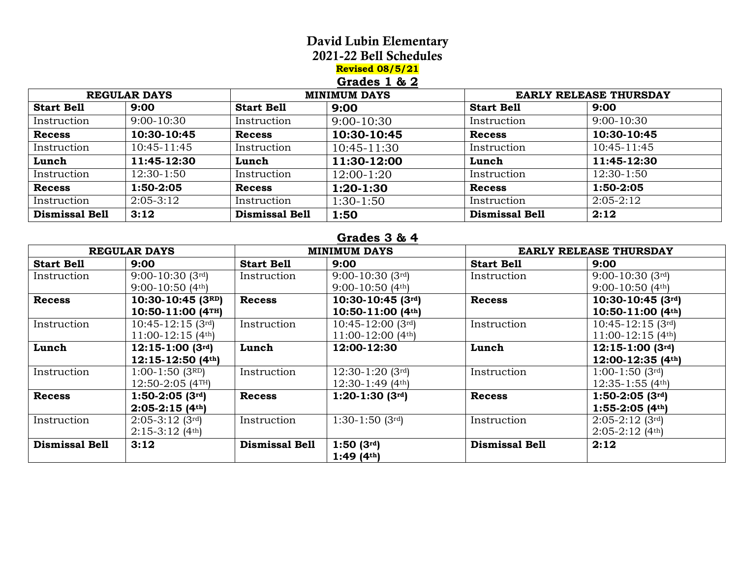# David Lubin Elementary

2021-22 Bell Schedules

**Revised 08/5/21**

## **Grades 1 & 2**

| <b>REGULAR DAYS</b>   |              | <b>MINIMUM DAYS</b>   |                 | <b>EARLY RELEASE THURSDAY</b> |              |
|-----------------------|--------------|-----------------------|-----------------|-------------------------------|--------------|
| <b>Start Bell</b>     | 9:00         | <b>Start Bell</b>     | 9:00            | <b>Start Bell</b>             | 9:00         |
| Instruction           | $9:00-10:30$ | Instruction           | $9:00 - 10:30$  | Instruction                   | $9:00-10:30$ |
| <b>Recess</b>         | 10:30-10:45  | <b>Recess</b>         | 10:30-10:45     | <b>Recess</b>                 | 10:30-10:45  |
| Instruction           | 10:45-11:45  | Instruction           | $10:45 - 11:30$ | Instruction                   | 10:45-11:45  |
| Lunch                 | 11:45-12:30  | Lunch                 | 11:30-12:00     | Lunch                         | 11:45-12:30  |
| Instruction           | 12:30-1:50   | Instruction           | 12:00-1:20      | Instruction                   | 12:30-1:50   |
| <b>Recess</b>         | 1:50-2:05    | <b>Recess</b>         | $1:20-1:30$     | <b>Recess</b>                 | 1:50-2:05    |
| Instruction           | $2:05-3:12$  | Instruction           | 1:30-1:50       | Instruction                   | $2:05-2:12$  |
| <b>Dismissal Bell</b> | 3:12         | <b>Dismissal Bell</b> | 1:50            | <b>Dismissal Bell</b>         | 2:12         |

#### **Grades 3 & 4**

| <b>REGULAR DAYS</b>   |                                | <b>MINIMUM DAYS</b>   |                     | <b>EARLY RELEASE THURSDAY</b> |                                |
|-----------------------|--------------------------------|-----------------------|---------------------|-------------------------------|--------------------------------|
| <b>Start Bell</b>     | 9:00                           | <b>Start Bell</b>     | 9:00                | <b>Start Bell</b>             | 9:00                           |
| Instruction           | $9:00-10:30$ (3rd)             | Instruction           | $9:00-10:30$ (3rd)  | Instruction                   | $9:00-10:30$ (3rd)             |
|                       | $9:00-10:50(4th)$              |                       | $9:00-10:50(4th)$   |                               | $9:00-10:50(4th)$              |
| <b>Recess</b>         | $10:30-10:45$ (3RD)            | <b>Recess</b>         | $10:30-10:45$ (3rd) | <b>Recess</b>                 | $10:30-10:45$ (3rd)            |
|                       | $10:50-11:00$ (4TH)            |                       | $10:50-11:00$ (4th) |                               | $10:50-11:00$ (4th)            |
| Instruction           | $10:45-12:15$ (3rd)            | Instruction           | $10:45-12:00$ (3rd) | Instruction                   | $10:45-12:15$ (3rd)            |
|                       | $11:00-12:15(4th)$             |                       | 11:00-12:00 $(4th)$ |                               | $11:00-12:15(4th)$             |
| Lunch                 | $12:15-1:00$ (3rd)             | Lunch                 | 12:00-12:30         | Lunch                         | $12:15-1:00$ (3rd)             |
|                       | $12:15-12:50(4th)$             |                       |                     |                               | $12:00-12:35(4th)$             |
| Instruction           | $1:00-1:50$ (3RD)              | Instruction           | $12:30-1:20$ (3rd)  | Instruction                   | $1:00-1:50$ (3rd)              |
|                       | $12:50-2:05$ (4TH)             |                       | $12:30-1:49$ (4th)  |                               | $12:35-1:55(4th)$              |
| <b>Recess</b>         | $1:50-2:05$ (3rd)              | <b>Recess</b>         | $1:20-1:30$ (3rd)   | <b>Recess</b>                 | $1:50-2:05$ (3rd)              |
|                       | $2:05-2:15(4th)$               |                       |                     |                               | $1:55-2:05$ (4th)              |
| Instruction           | $2:05-3:12$ (3rd)              | Instruction           | $1:30-1:50$ (3rd)   | Instruction                   | $2:05-2:12$ (3rd)              |
|                       | $2:15-3:12$ (4 <sup>th</sup> ) |                       |                     |                               | $2:05-2:12$ (4 <sup>th</sup> ) |
| <b>Dismissal Bell</b> | 3:12                           | <b>Dismissal Bell</b> | $1:50(3^{rd})$      | <b>Dismissal Bell</b>         | 2:12                           |
|                       |                                |                       | 1:49 $(4th)$        |                               |                                |